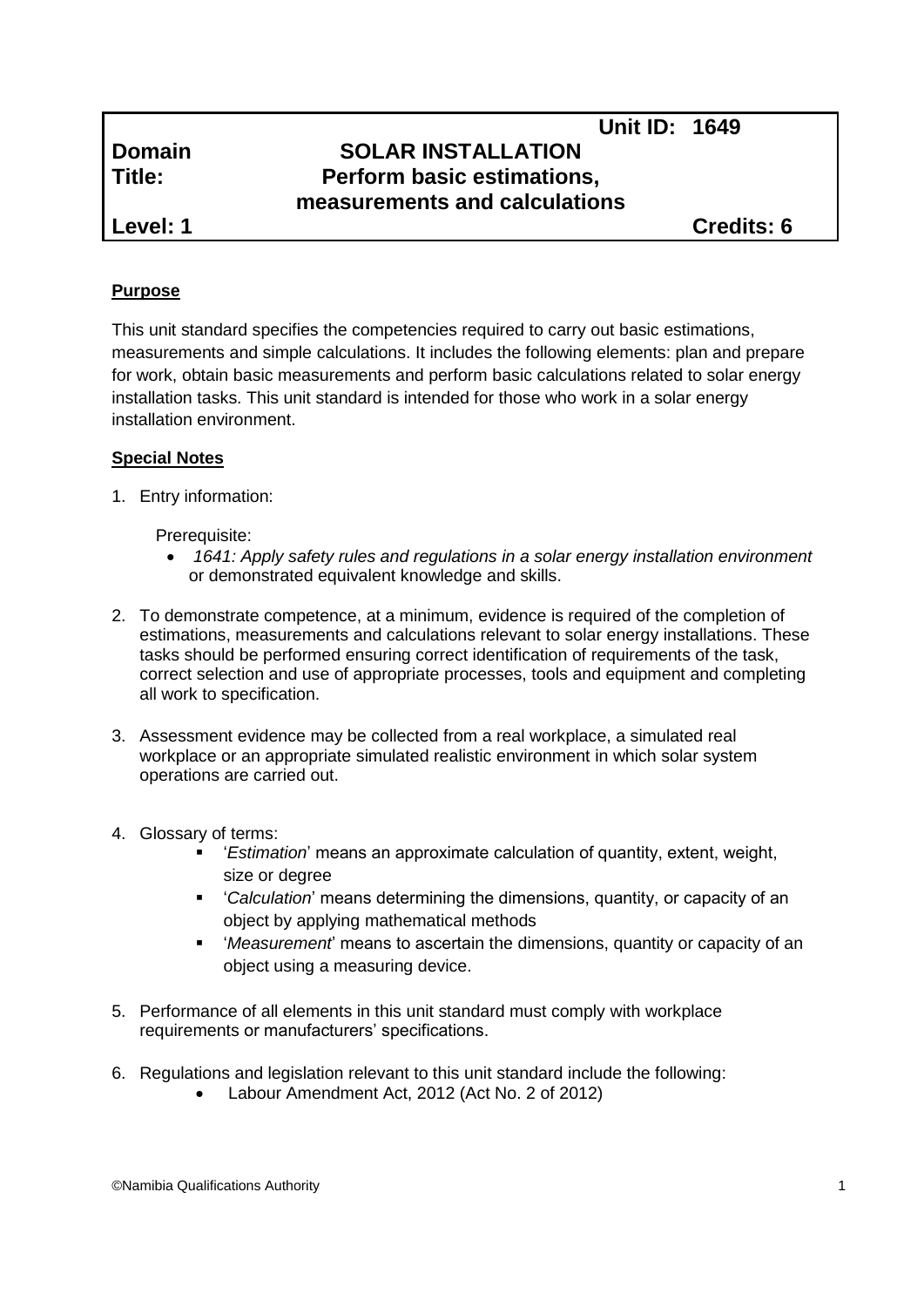# **Unit ID: 1649 Domain SOLAR INSTALLATION Title: Perform basic estimations, measurements and calculations**

**Level: 1 Credits: 6**

## **Purpose**

This unit standard specifies the competencies required to carry out basic estimations, measurements and simple calculations. It includes the following elements: plan and prepare for work, obtain basic measurements and perform basic calculations related to solar energy installation tasks. This unit standard is intended for those who work in a solar energy installation environment.

## **Special Notes**

1. Entry information:

Prerequisite:

- *1641: Apply safety rules and regulations in a solar energy installation environment*  or demonstrated equivalent knowledge and skills.
- 2. To demonstrate competence, at a minimum, evidence is required of the completion of estimations, measurements and calculations relevant to solar energy installations. These tasks should be performed ensuring correct identification of requirements of the task, correct selection and use of appropriate processes, tools and equipment and completing all work to specification.
- 3. Assessment evidence may be collected from a real workplace, a simulated real workplace or an appropriate simulated realistic environment in which solar system operations are carried out.
- 4. Glossary of terms:
	- '*Estimation*' means an approximate calculation of quantity, extent, weight, size or degree
	- '*Calculation*' means determining the dimensions, quantity, or capacity of an object by applying mathematical methods
	- '*Measurement*' means to ascertain the dimensions, quantity or capacity of an object using a measuring device.
- 5. Performance of all elements in this unit standard must comply with workplace requirements or manufacturers' specifications.
- 6. Regulations and legislation relevant to this unit standard include the following:
	- Labour Amendment Act, 2012 (Act No. 2 of 2012)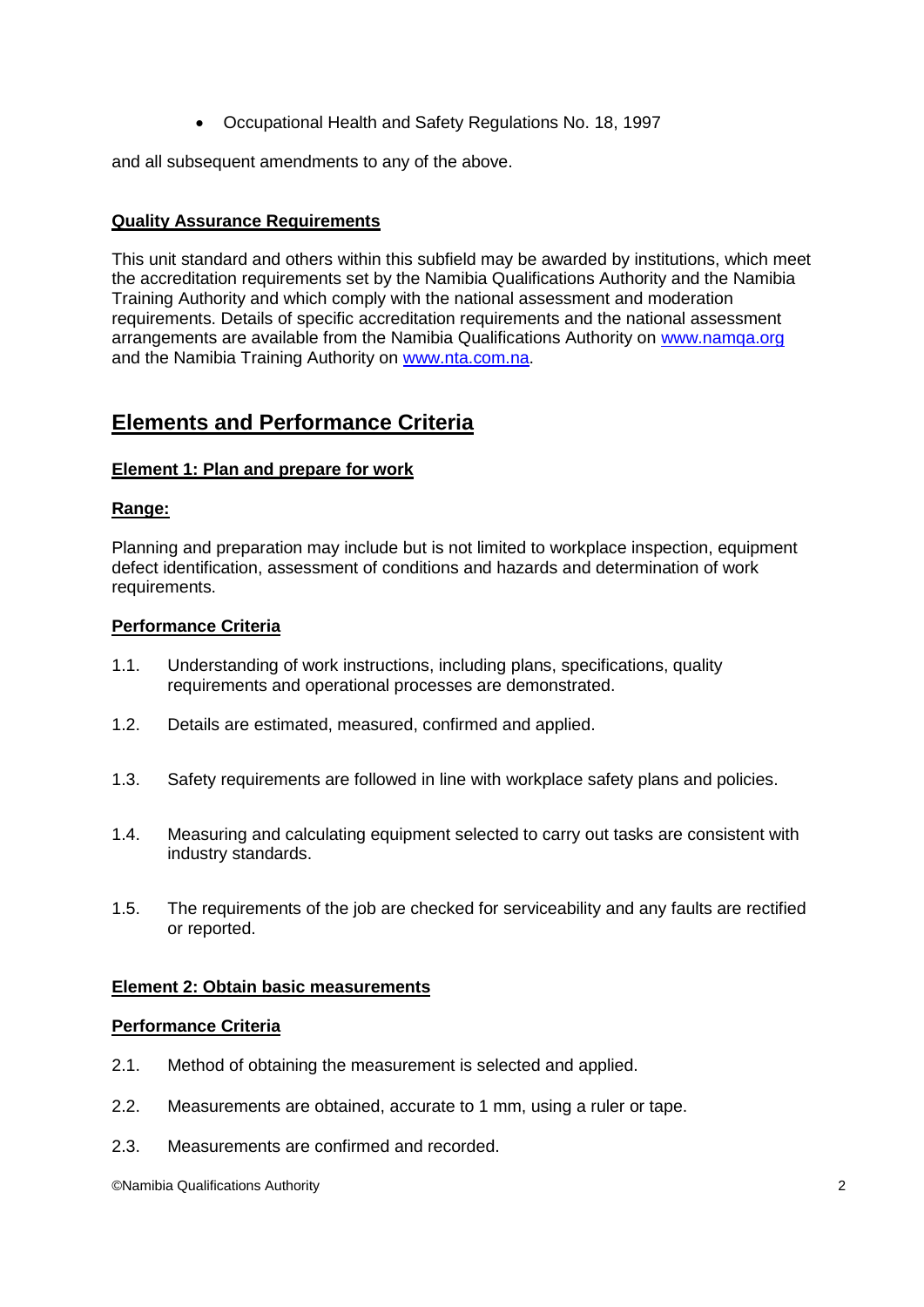Occupational Health and Safety Regulations No. 18, 1997

and all subsequent amendments to any of the above.

### **Quality Assurance Requirements**

This unit standard and others within this subfield may be awarded by institutions, which meet the accreditation requirements set by the Namibia Qualifications Authority and the Namibia Training Authority and which comply with the national assessment and moderation requirements. Details of specific accreditation requirements and the national assessment arrangements are available from the Namibia Qualifications Authority on [www.namqa.org](http://www.namqa.org/) and the Namibia Training Authority on [www.nta.com.na.](http://www.nta.com.na/)

## **Elements and Performance Criteria**

#### **Element 1: Plan and prepare for work**

#### **Range:**

Planning and preparation may include but is not limited to workplace inspection, equipment defect identification, assessment of conditions and hazards and determination of work requirements.

#### **Performance Criteria**

- 1.1. Understanding of work instructions, including plans, specifications, quality requirements and operational processes are demonstrated.
- 1.2. Details are estimated, measured, confirmed and applied.
- 1.3. Safety requirements are followed in line with workplace safety plans and policies.
- 1.4. Measuring and calculating equipment selected to carry out tasks are consistent with industry standards.
- 1.5. The requirements of the job are checked for serviceability and any faults are rectified or reported.

#### **Element 2: Obtain basic measurements**

#### **Performance Criteria**

- 2.1. Method of obtaining the measurement is selected and applied.
- 2.2. Measurements are obtained, accurate to 1 mm, using a ruler or tape.
- 2.3. Measurements are confirmed and recorded.

©Namibia Qualifications Authority 2